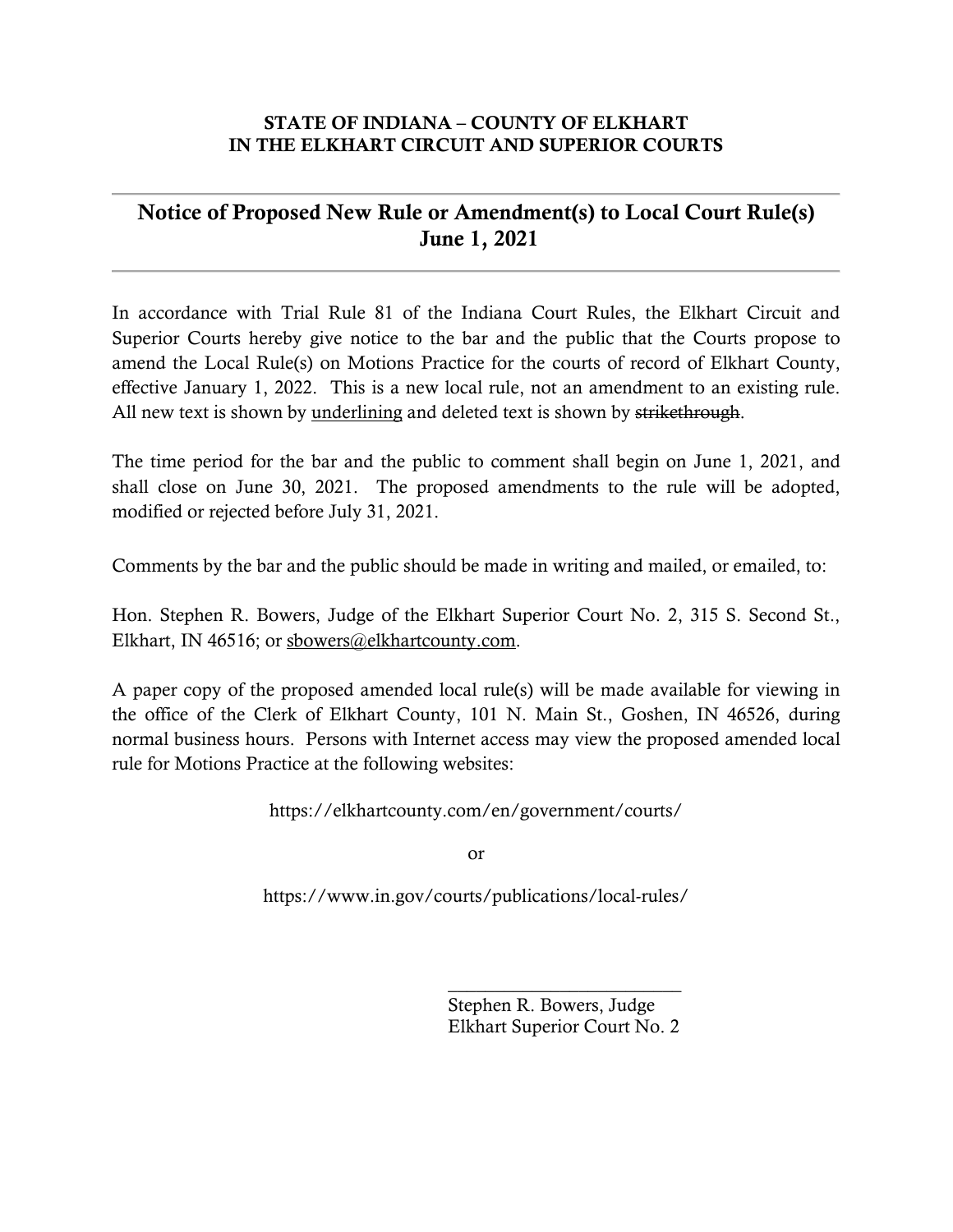#### STATE OF INDIANA – COUNTY OF ELKHART IN THE ELKHART CIRCUIT AND SUPERIOR COURTS

### Notice of Proposed New Rule or Amendment(s) to Local Court Rule(s) June 1, 2021

In accordance with Trial Rule 81 of the Indiana Court Rules, the Elkhart Circuit and Superior Courts hereby give notice to the bar and the public that the Courts propose to amend the Local Rule(s) on Motions Practice for the courts of record of Elkhart County, effective January 1, 2022. This is a new local rule, not an amendment to an existing rule. All new text is shown by underlining and deleted text is shown by strikethrough.

The time period for the bar and the public to comment shall begin on June 1, 2021, and shall close on June 30, 2021. The proposed amendments to the rule will be adopted, modified or rejected before July 31, 2021.

Comments by the bar and the public should be made in writing and mailed, or emailed, to:

Hon. Stephen R. Bowers, Judge of the Elkhart Superior Court No. 2, 315 S. Second St., Elkhart, IN 46516; or sbowers@elkhartcounty.com.

A paper copy of the proposed amended local rule(s) will be made available for viewing in the office of the Clerk of Elkhart County, 101 N. Main St., Goshen, IN 46526, during normal business hours. Persons with Internet access may view the proposed amended local rule for Motions Practice at the following websites:

https://elkhartcounty.com/en/government/courts/

or

https://www.in.gov/courts/publications/local-rules/

Stephen R. Bowers, Judge Elkhart Superior Court No. 2

\_\_\_\_\_\_\_\_\_\_\_\_\_\_\_\_\_\_\_\_\_\_\_\_\_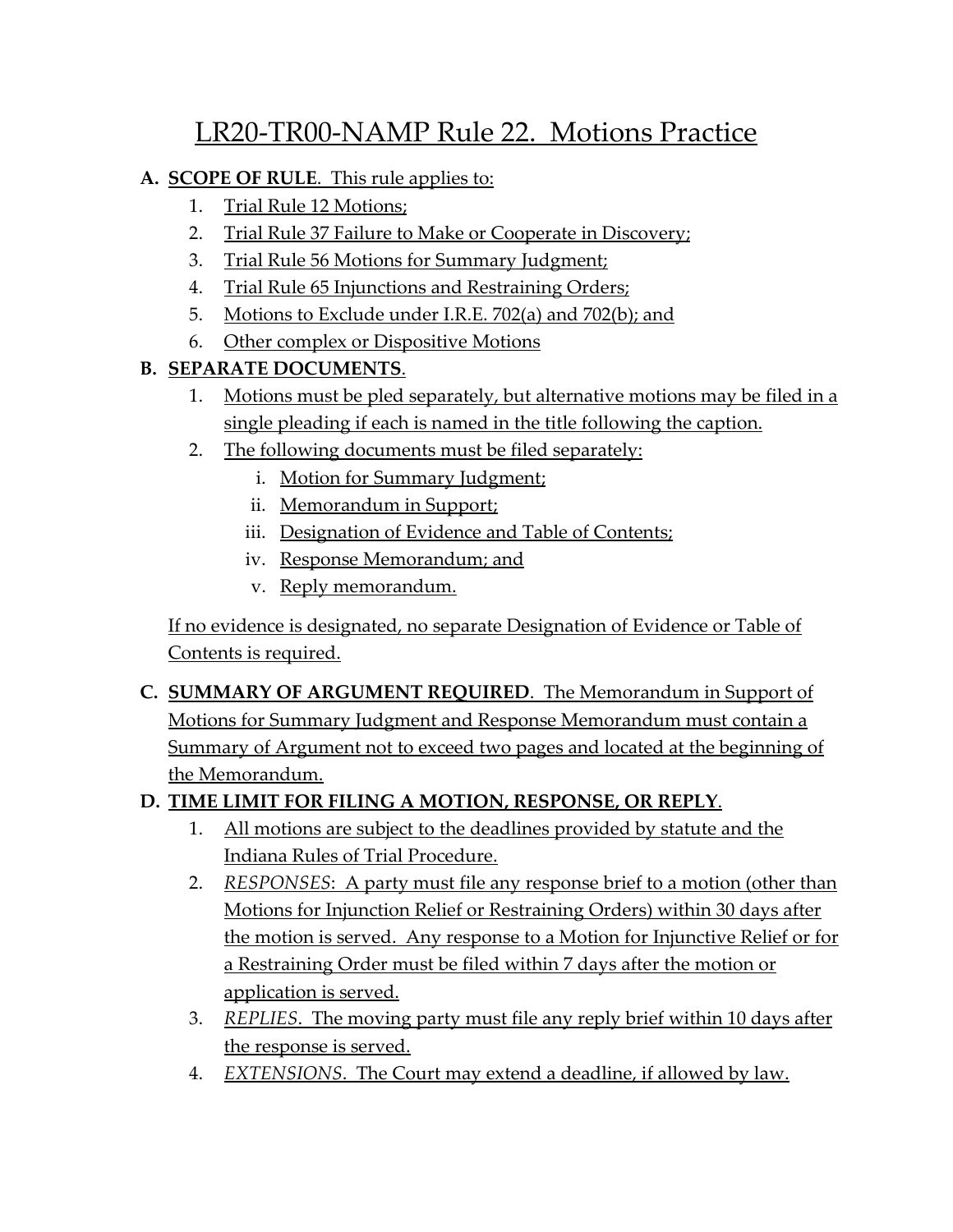# LR20-TR00-NAMP Rule 22. Motions Practice

#### **A. SCOPE OF RULE**. This rule applies to:

- 1. Trial Rule 12 Motions;
- 2. Trial Rule 37 Failure to Make or Cooperate in Discovery;
- 3. Trial Rule 56 Motions for Summary Judgment;
- 4. Trial Rule 65 Injunctions and Restraining Orders;
- 5. Motions to Exclude under I.R.E. 702(a) and 702(b); and
- 6. Other complex or Dispositive Motions

# **B. SEPARATE DOCUMENTS**.

- 1. Motions must be pled separately, but alternative motions may be filed in a single pleading if each is named in the title following the caption.
- 2. The following documents must be filed separately:
	- i. Motion for Summary Judgment;
	- ii. Memorandum in Support;
	- iii. Designation of Evidence and Table of Contents;
	- iv. Response Memorandum; and
	- v. Reply memorandum.

If no evidence is designated, no separate Designation of Evidence or Table of Contents is required.

**C. SUMMARY OF ARGUMENT REQUIRED**. The Memorandum in Support of Motions for Summary Judgment and Response Memorandum must contain a Summary of Argument not to exceed two pages and located at the beginning of the Memorandum.

### **D. TIME LIMIT FOR FILING A MOTION, RESPONSE, OR REPLY**.

- 1. All motions are subject to the deadlines provided by statute and the Indiana Rules of Trial Procedure.
- 2. *RESPONSES*: A party must file any response brief to a motion (other than Motions for Injunction Relief or Restraining Orders) within 30 days after the motion is served. Any response to a Motion for Injunctive Relief or for a Restraining Order must be filed within 7 days after the motion or application is served.
- 3. *REPLIES*. The moving party must file any reply brief within 10 days after the response is served.
- 4. *EXTENSIONS*. The Court may extend a deadline, if allowed by law.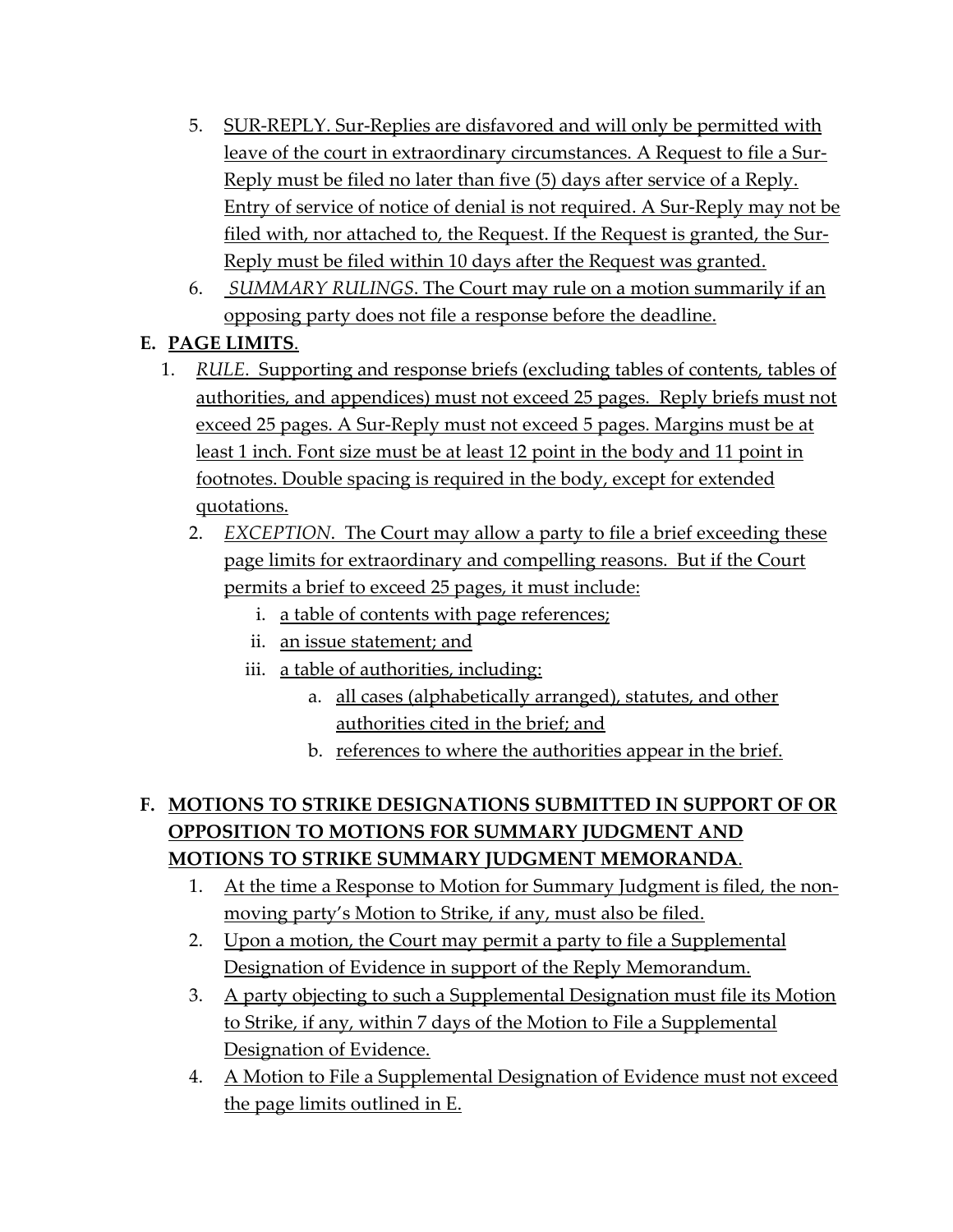- 5. SUR-REPLY. Sur-Replies are disfavored and will only be permitted with leave of the court in extraordinary circumstances. A Request to file a Sur-Reply must be filed no later than five (5) days after service of a Reply. Entry of service of notice of denial is not required. A Sur-Reply may not be filed with, nor attached to, the Request. If the Request is granted, the Sur-Reply must be filed within 10 days after the Request was granted.
- 6. *SUMMARY RULINGS*. The Court may rule on a motion summarily if an opposing party does not file a response before the deadline.

# **E. PAGE LIMITS**.

- 1. *RULE*. Supporting and response briefs (excluding tables of contents, tables of authorities, and appendices) must not exceed 25 pages. Reply briefs must not exceed 25 pages. A Sur-Reply must not exceed 5 pages. Margins must be at least 1 inch. Font size must be at least 12 point in the body and 11 point in footnotes. Double spacing is required in the body, except for extended quotations.
	- 2. *EXCEPTION*. The Court may allow a party to file a brief exceeding these page limits for extraordinary and compelling reasons. But if the Court permits a brief to exceed 25 pages, it must include:
		- i. a table of contents with page references;
		- ii. an issue statement; and
		- iii. a table of authorities, including:
			- a. all cases (alphabetically arranged), statutes, and other authorities cited in the brief; and
			- b. references to where the authorities appear in the brief.

# **F. MOTIONS TO STRIKE DESIGNATIONS SUBMITTED IN SUPPORT OF OR OPPOSITION TO MOTIONS FOR SUMMARY JUDGMENT AND MOTIONS TO STRIKE SUMMARY JUDGMENT MEMORANDA**.

- 1. At the time a Response to Motion for Summary Judgment is filed, the nonmoving party's Motion to Strike, if any, must also be filed.
- 2. Upon a motion, the Court may permit a party to file a Supplemental Designation of Evidence in support of the Reply Memorandum.
- 3. A party objecting to such a Supplemental Designation must file its Motion to Strike, if any, within 7 days of the Motion to File a Supplemental Designation of Evidence.
- 4. A Motion to File a Supplemental Designation of Evidence must not exceed the page limits outlined in E.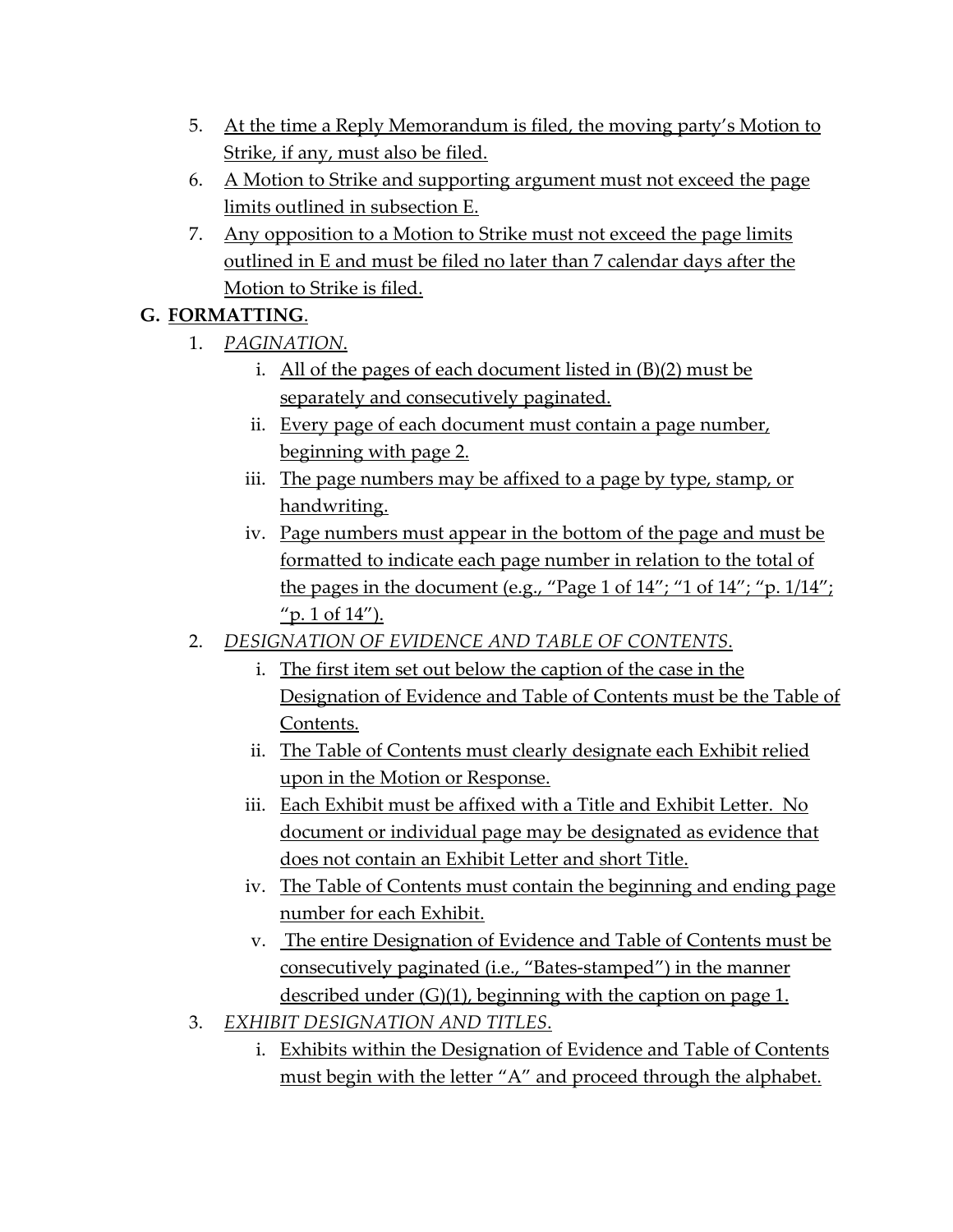- 5. At the time a Reply Memorandum is filed, the moving party's Motion to Strike, if any, must also be filed.
- 6. A Motion to Strike and supporting argument must not exceed the page limits outlined in subsection E.
- 7. Any opposition to a Motion to Strike must not exceed the page limits outlined in E and must be filed no later than 7 calendar days after the Motion to Strike is filed.

### **G. FORMATTING**.

- 1. *PAGINATION*.
	- i. All of the pages of each document listed in (B)(2) must be separately and consecutively paginated.
	- ii. Every page of each document must contain a page number, beginning with page 2.
	- iii. The page numbers may be affixed to a page by type, stamp, or handwriting.
	- iv. Page numbers must appear in the bottom of the page and must be formatted to indicate each page number in relation to the total of the pages in the document (e.g., "Page 1 of  $14$ "; "1 of  $14$ "; "p.  $1/14$ "; "p.  $1$  of  $14$ ").
- 2. *DESIGNATION OF EVIDENCE AND TABLE OF CONTENTS*.
	- i. The first item set out below the caption of the case in the Designation of Evidence and Table of Contents must be the Table of Contents.
	- ii. The Table of Contents must clearly designate each Exhibit relied upon in the Motion or Response.
	- iii. Each Exhibit must be affixed with a Title and Exhibit Letter. No document or individual page may be designated as evidence that does not contain an Exhibit Letter and short Title.
	- iv. The Table of Contents must contain the beginning and ending page number for each Exhibit.
	- v. The entire Designation of Evidence and Table of Contents must be consecutively paginated (i.e., "Bates-stamped") in the manner described under (G)(1), beginning with the caption on page 1.
- 3. *EXHIBIT DESIGNATION AND TITLES*.
	- i. Exhibits within the Designation of Evidence and Table of Contents must begin with the letter "A" and proceed through the alphabet.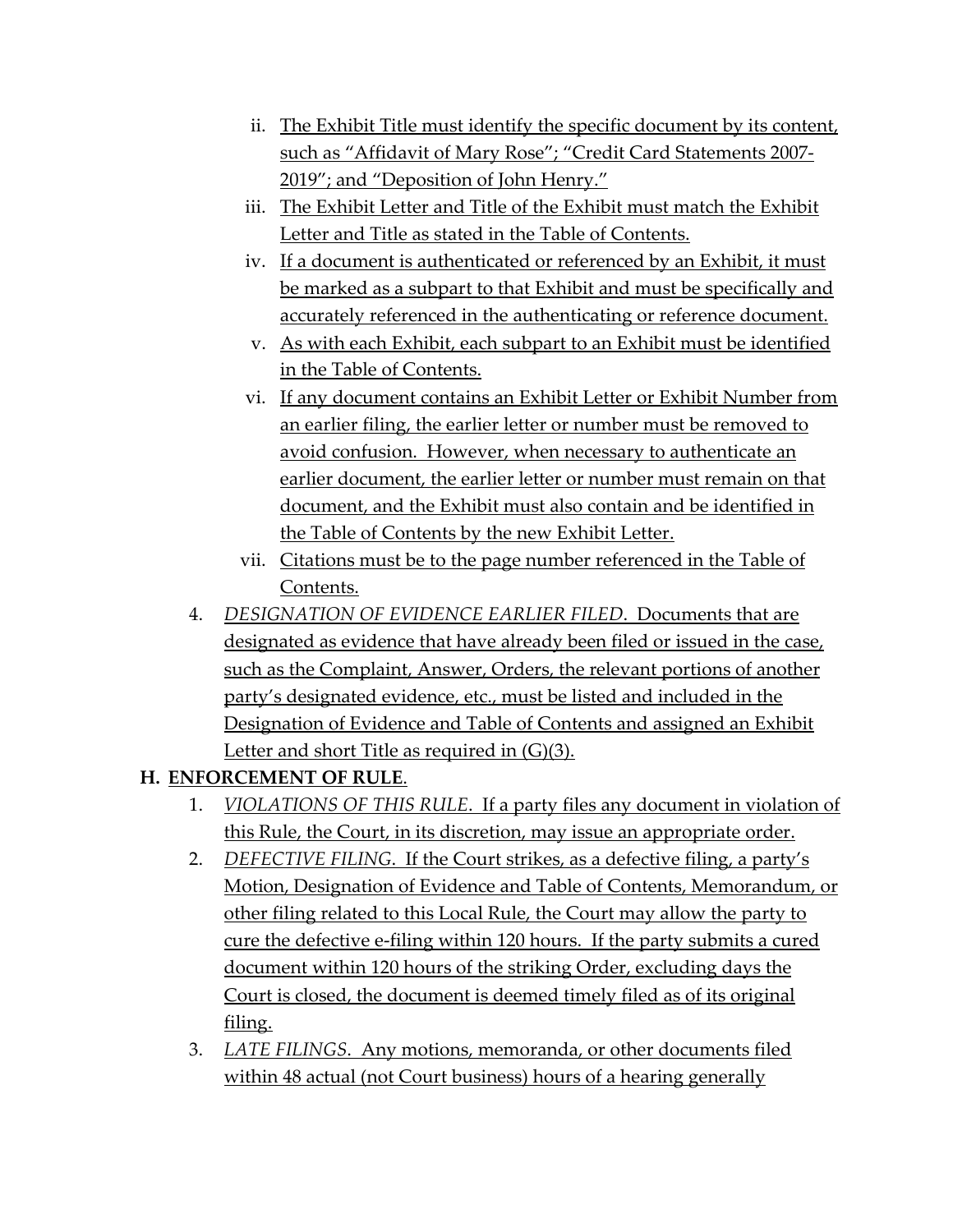- ii. The Exhibit Title must identify the specific document by its content, such as "Affidavit of Mary Rose"; "Credit Card Statements 2007- 2019"; and "Deposition of John Henry."
- iii. The Exhibit Letter and Title of the Exhibit must match the Exhibit Letter and Title as stated in the Table of Contents.
- iv. If a document is authenticated or referenced by an Exhibit, it must be marked as a subpart to that Exhibit and must be specifically and accurately referenced in the authenticating or reference document.
- v. As with each Exhibit, each subpart to an Exhibit must be identified in the Table of Contents.
- vi. If any document contains an Exhibit Letter or Exhibit Number from an earlier filing, the earlier letter or number must be removed to avoid confusion. However, when necessary to authenticate an earlier document, the earlier letter or number must remain on that document, and the Exhibit must also contain and be identified in the Table of Contents by the new Exhibit Letter.
- vii. Citations must be to the page number referenced in the Table of Contents.
- 4. *DESIGNATION OF EVIDENCE EARLIER FILED*. Documents that are designated as evidence that have already been filed or issued in the case, such as the Complaint, Answer, Orders, the relevant portions of another party's designated evidence, etc., must be listed and included in the Designation of Evidence and Table of Contents and assigned an Exhibit Letter and short Title as required in  $(G)(3)$ .

### **H. ENFORCEMENT OF RULE**.

- 1. *VIOLATIONS OF THIS RULE*. If a party files any document in violation of this Rule, the Court, in its discretion, may issue an appropriate order.
- 2. *DEFECTIVE FILING*. If the Court strikes, as a defective filing, a party's Motion, Designation of Evidence and Table of Contents, Memorandum, or other filing related to this Local Rule, the Court may allow the party to cure the defective e-filing within 120 hours. If the party submits a cured document within 120 hours of the striking Order, excluding days the Court is closed, the document is deemed timely filed as of its original filing.
- 3. *LATE FILINGS*. Any motions, memoranda, or other documents filed within 48 actual (not Court business) hours of a hearing generally